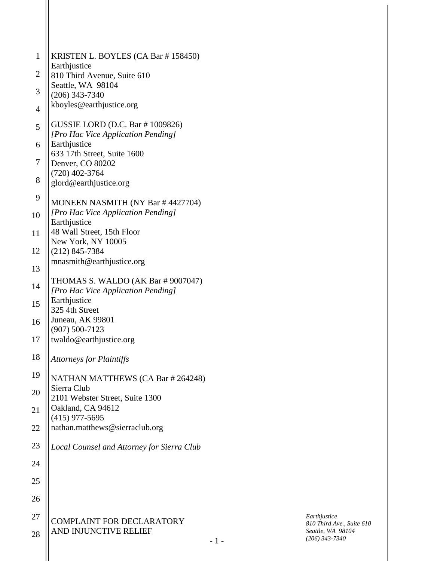| $\mathbf{1}$   | KRISTEN L. BOYLES (CA Bar # 158450)                                    |
|----------------|------------------------------------------------------------------------|
| $\mathbf{2}$   | Earthjustice                                                           |
|                | 810 Third Avenue, Suite 610<br>Seattle, WA 98104                       |
| 3              | $(206)$ 343-7340                                                       |
| $\overline{4}$ | kboyles@earthjustice.org                                               |
| 5              | GUSSIE LORD (D.C. Bar # 1009826)<br>[Pro Hac Vice Application Pending] |
| 6              | Earthjustice                                                           |
| 7              | 633 17th Street, Suite 1600<br>Denver, CO 80202                        |
|                | $(720)$ 402-3764                                                       |
| 8              | glord@earthjustice.org                                                 |
| 9              | MONEEN NASMITH (NY Bar #4427704)                                       |
| 10             | [Pro Hac Vice Application Pending]<br>Earthjustice                     |
| 11             | 48 Wall Street, 15th Floor                                             |
| 12             | New York, NY 10005<br>$(212)$ 845-7384                                 |
|                | mnasmith@earthjustice.org                                              |
| 13             | THOMAS S. WALDO (AK Bar # 9007047)                                     |
| 14             | [Pro Hac Vice Application Pending]                                     |
| 15             | Earthjustice<br>325 4th Street                                         |
| 16             | Juneau, AK 99801                                                       |
|                | $(907) 500 - 7123$                                                     |
| 17             | twaldo@earthjustice.org                                                |
| 18             | <b>Attorneys for Plaintiffs</b>                                        |
| 19             | NATHAN MATTHEWS (CA Bar # 264248)                                      |
| 20             | Sierra Club<br>2101 Webster Street, Suite 1300                         |
| 21             | Oakland, CA 94612                                                      |
|                | $(415)$ 977-5695                                                       |
| 22             | nathan.matthews@sierraclub.org                                         |
| 23             | Local Counsel and Attorney for Sierra Club                             |
| 24             |                                                                        |
| 25             |                                                                        |
| 26             |                                                                        |
| 27             | <b>COMPLAINT FOR DECLARATORY</b>                                       |
| 28             | AND INJUNCTIVE RELIEF                                                  |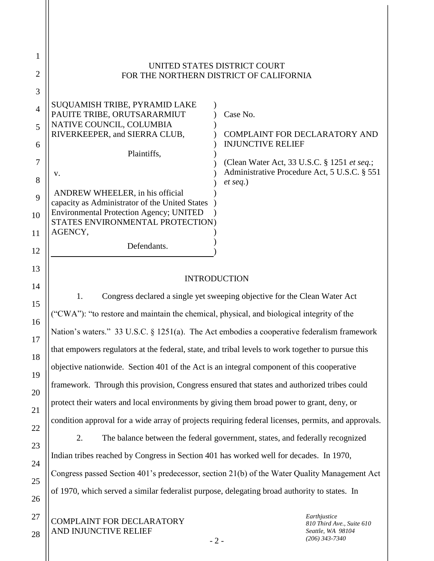|    | UNITED STATES DISTRICT COURT<br>FOR THE NORTHERN DISTRICT OF CALIFORNIA            |                                              |  |  |  |  |
|----|------------------------------------------------------------------------------------|----------------------------------------------|--|--|--|--|
| 3  |                                                                                    |                                              |  |  |  |  |
| 4  | SUQUAMISH TRIBE, PYRAMID LAKE<br>PAUITE TRIBE, ORUTSARARMIUT                       | Case No.                                     |  |  |  |  |
| 5  | NATIVE COUNCIL, COLUMBIA<br>RIVERKEEPER, and SIERRA CLUB,                          | <b>COMPLAINT FOR DECLARATORY AND</b>         |  |  |  |  |
| 6  |                                                                                    | <b>INJUNCTIVE RELIEF</b>                     |  |  |  |  |
|    | Plaintiffs,                                                                        |                                              |  |  |  |  |
|    |                                                                                    | (Clean Water Act, 33 U.S.C. § 1251 et seq.;  |  |  |  |  |
|    | V.                                                                                 | Administrative Procedure Act, 5 U.S.C. § 551 |  |  |  |  |
| 8  |                                                                                    | $et seq.$ )                                  |  |  |  |  |
| 9  | ANDREW WHEELER, in his official<br>capacity as Administrator of the United States  |                                              |  |  |  |  |
| 10 | <b>Environmental Protection Agency; UNITED</b><br>STATES ENVIRONMENTAL PROTECTION) |                                              |  |  |  |  |
| 11 | AGENCY,                                                                            |                                              |  |  |  |  |
| 12 | Defendants.                                                                        |                                              |  |  |  |  |

### INTRODUCTION

1. Congress declared a single yet sweeping objective for the Clean Water Act ("CWA"): "to restore and maintain the chemical, physical, and biological integrity of the Nation's waters." 33 U.S.C. § 1251(a). The Act embodies a cooperative federalism framework that empowers regulators at the federal, state, and tribal levels to work together to pursue this objective nationwide. Section 401 of the Act is an integral component of this cooperative framework. Through this provision, Congress ensured that states and authorized tribes could protect their waters and local environments by giving them broad power to grant, deny, or condition approval for a wide array of projects requiring federal licenses, permits, and approvals.

2. The balance between the federal government, states, and federally recognized Indian tribes reached by Congress in Section 401 has worked well for decades. In 1970, Congress passed Section 401's predecessor, section 21(b) of the Water Quality Management Act of 1970, which served a similar federalist purpose, delegating broad authority to states. In

13

14

15

16

17

18

19

20

21

22

23

24

25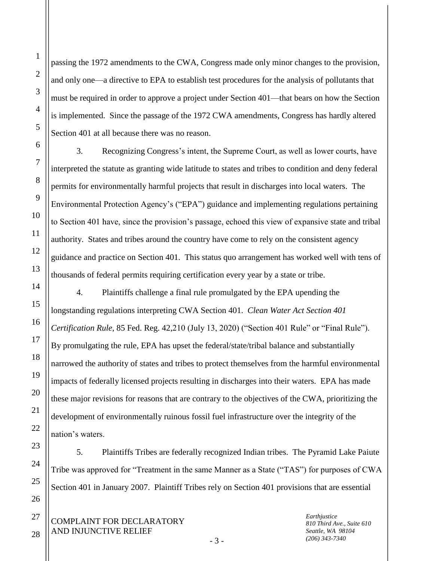1

2

3

4

5

passing the 1972 amendments to the CWA, Congress made only minor changes to the provision, and only one—a directive to EPA to establish test procedures for the analysis of pollutants that must be required in order to approve a project under Section 401—that bears on how the Section is implemented. Since the passage of the 1972 CWA amendments, Congress has hardly altered Section 401 at all because there was no reason.

3. Recognizing Congress's intent, the Supreme Court, as well as lower courts, have interpreted the statute as granting wide latitude to states and tribes to condition and deny federal permits for environmentally harmful projects that result in discharges into local waters. The Environmental Protection Agency's ("EPA") guidance and implementing regulations pertaining to Section 401 have, since the provision's passage, echoed this view of expansive state and tribal authority. States and tribes around the country have come to rely on the consistent agency guidance and practice on Section 401. This status quo arrangement has worked well with tens of thousands of federal permits requiring certification every year by a state or tribe.

4. Plaintiffs challenge a final rule promulgated by the EPA upending the longstanding regulations interpreting CWA Section 401. *Clean Water Act Section 401 Certification Rule*, 85 Fed. Reg. 42,210 (July 13, 2020) ("Section 401 Rule" or "Final Rule"). By promulgating the rule, EPA has upset the federal/state/tribal balance and substantially narrowed the authority of states and tribes to protect themselves from the harmful environmental impacts of federally licensed projects resulting in discharges into their waters. EPA has made these major revisions for reasons that are contrary to the objectives of the CWA, prioritizing the development of environmentally ruinous fossil fuel infrastructure over the integrity of the nation's waters.

5. Plaintiffs Tribes are federally recognized Indian tribes. The Pyramid Lake Paiute Tribe was approved for "Treatment in the same Manner as a State ("TAS") for purposes of CWA Section 401 in January 2007. Plaintiff Tribes rely on Section 401 provisions that are essential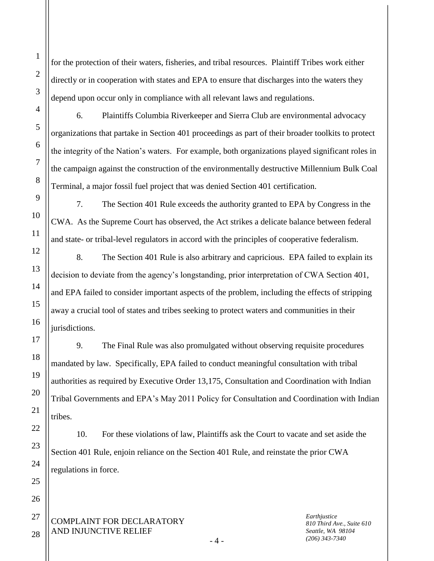for the protection of their waters, fisheries, and tribal resources. Plaintiff Tribes work either directly or in cooperation with states and EPA to ensure that discharges into the waters they depend upon occur only in compliance with all relevant laws and regulations.

6. Plaintiffs Columbia Riverkeeper and Sierra Club are environmental advocacy organizations that partake in Section 401 proceedings as part of their broader toolkits to protect the integrity of the Nation's waters. For example, both organizations played significant roles in the campaign against the construction of the environmentally destructive Millennium Bulk Coal Terminal, a major fossil fuel project that was denied Section 401 certification.

7. The Section 401 Rule exceeds the authority granted to EPA by Congress in the CWA. As the Supreme Court has observed, the Act strikes a delicate balance between federal and state- or tribal-level regulators in accord with the principles of cooperative federalism.

8. The Section 401 Rule is also arbitrary and capricious. EPA failed to explain its decision to deviate from the agency's longstanding, prior interpretation of CWA Section 401, and EPA failed to consider important aspects of the problem, including the effects of stripping away a crucial tool of states and tribes seeking to protect waters and communities in their jurisdictions.

9. The Final Rule was also promulgated without observing requisite procedures mandated by law. Specifically, EPA failed to conduct meaningful consultation with tribal authorities as required by Executive Order 13,175, Consultation and Coordination with Indian Tribal Governments and EPA's May 2011 Policy for Consultation and Coordination with Indian tribes.

10. For these violations of law, Plaintiffs ask the Court to vacate and set aside the Section 401 Rule, enjoin reliance on the Section 401 Rule, and reinstate the prior CWA regulations in force.

COMPLAINT FOR DECLARATORY AND INJUNCTIVE RELIEF

*Earthjustice 810 Third Ave., Suite 610 Seattle, WA 98104 (206) 343-7340*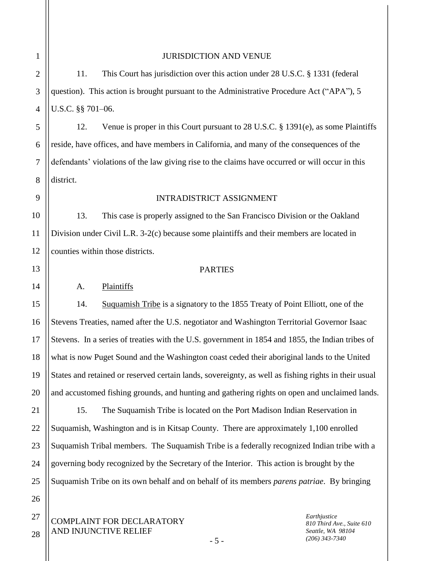2

3

4

5

6

7

8

10

11

12

13

14

15

16

17

18

19

20

21

22

23

24

25

26

1

#### JURISDICTION AND VENUE

11. This Court has jurisdiction over this action under 28 U.S.C. § 1331 (federal question). This action is brought pursuant to the Administrative Procedure Act ("APA"), 5 U.S.C. §§ 701–06.

12. Venue is proper in this Court pursuant to 28 U.S.C. § 1391(e), as some Plaintiffs reside, have offices, and have members in California, and many of the consequences of the defendants' violations of the law giving rise to the claims have occurred or will occur in this district.

#### 9

#### INTRADISTRICT ASSIGNMENT

13. This case is properly assigned to the San Francisco Division or the Oakland Division under Civil L.R. 3-2(c) because some plaintiffs and their members are located in counties within those districts.

### **PARTIES**

#### A. Plaintiffs

14. Suquamish Tribe is a signatory to the 1855 Treaty of Point Elliott, one of the Stevens Treaties, named after the U.S. negotiator and Washington Territorial Governor Isaac Stevens. In a series of treaties with the U.S. government in 1854 and 1855, the Indian tribes of what is now Puget Sound and the Washington coast ceded their aboriginal lands to the United States and retained or reserved certain lands, sovereignty, as well as fishing rights in their usual and accustomed fishing grounds, and hunting and gathering rights on open and unclaimed lands.

15. The Suquamish Tribe is located on the Port Madison Indian Reservation in Suquamish, Washington and is in Kitsap County. There are approximately 1,100 enrolled Suquamish Tribal members. The Suquamish Tribe is a federally recognized Indian tribe with a governing body recognized by the Secretary of the Interior. This action is brought by the Suquamish Tribe on its own behalf and on behalf of its members *parens patriae*. By bringing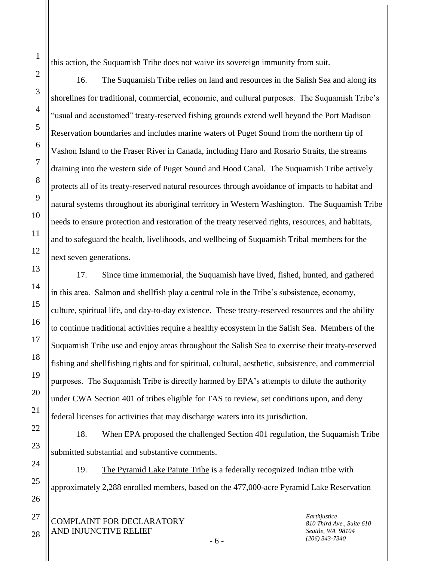this action, the Suquamish Tribe does not waive its sovereign immunity from suit.

16. The Suquamish Tribe relies on land and resources in the Salish Sea and along its shorelines for traditional, commercial, economic, and cultural purposes. The Suquamish Tribe's "usual and accustomed" treaty-reserved fishing grounds extend well beyond the Port Madison Reservation boundaries and includes marine waters of Puget Sound from the northern tip of Vashon Island to the Fraser River in Canada, including Haro and Rosario Straits, the streams draining into the western side of Puget Sound and Hood Canal. The Suquamish Tribe actively protects all of its treaty-reserved natural resources through avoidance of impacts to habitat and natural systems throughout its aboriginal territory in Western Washington. The Suquamish Tribe needs to ensure protection and restoration of the treaty reserved rights, resources, and habitats, and to safeguard the health, livelihoods, and wellbeing of Suquamish Tribal members for the next seven generations.

17. Since time immemorial, the Suquamish have lived, fished, hunted, and gathered in this area. Salmon and shellfish play a central role in the Tribe's subsistence, economy, culture, spiritual life, and day-to-day existence. These treaty-reserved resources and the ability to continue traditional activities require a healthy ecosystem in the Salish Sea. Members of the Suquamish Tribe use and enjoy areas throughout the Salish Sea to exercise their treaty-reserved fishing and shellfishing rights and for spiritual, cultural, aesthetic, subsistence, and commercial purposes. The Suquamish Tribe is directly harmed by EPA's attempts to dilute the authority under CWA Section 401 of tribes eligible for TAS to review, set conditions upon, and deny federal licenses for activities that may discharge waters into its jurisdiction.

18. When EPA proposed the challenged Section 401 regulation, the Suquamish Tribe submitted substantial and substantive comments.

19. The Pyramid Lake Paiute Tribe is a federally recognized Indian tribe with approximately 2,288 enrolled members, based on the 477,000-acre Pyramid Lake Reservation

- 6 -

COMPLAINT FOR DECLARATORY AND INJUNCTIVE RELIEF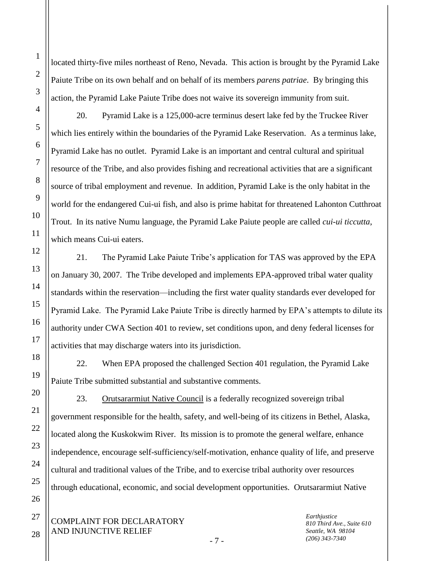located thirty-five miles northeast of Reno, Nevada. This action is brought by the Pyramid Lake Paiute Tribe on its own behalf and on behalf of its members *parens patriae*. By bringing this action, the Pyramid Lake Paiute Tribe does not waive its sovereign immunity from suit.

20. Pyramid Lake is a 125,000-acre terminus desert lake fed by the Truckee River which lies entirely within the boundaries of the Pyramid Lake Reservation. As a terminus lake, Pyramid Lake has no outlet. Pyramid Lake is an important and central cultural and spiritual resource of the Tribe, and also provides fishing and recreational activities that are a significant source of tribal employment and revenue. In addition, Pyramid Lake is the only habitat in the world for the endangered Cui-ui fish, and also is prime habitat for threatened Lahonton Cutthroat Trout. In its native Numu language, the Pyramid Lake Paiute people are called *cui-ui ticcutta*, which means Cui-ui eaters.

21. The Pyramid Lake Paiute Tribe's application for TAS was approved by the EPA on January 30, 2007. The Tribe developed and implements EPA-approved tribal water quality standards within the reservation—including the first water quality standards ever developed for Pyramid Lake. The Pyramid Lake Paiute Tribe is directly harmed by EPA's attempts to dilute its authority under CWA Section 401 to review, set conditions upon, and deny federal licenses for activities that may discharge waters into its jurisdiction.

22. When EPA proposed the challenged Section 401 regulation, the Pyramid Lake Paiute Tribe submitted substantial and substantive comments.

23. Orutsararmiut Native Council is a federally recognized sovereign tribal government responsible for the health, safety, and well-being of its citizens in Bethel, Alaska, located along the Kuskokwim River. Its mission is to promote the general welfare, enhance independence, encourage self-sufficiency/self-motivation, enhance quality of life, and preserve cultural and traditional values of the Tribe, and to exercise tribal authority over resources through educational, economic, and social development opportunities. Orutsararmiut Native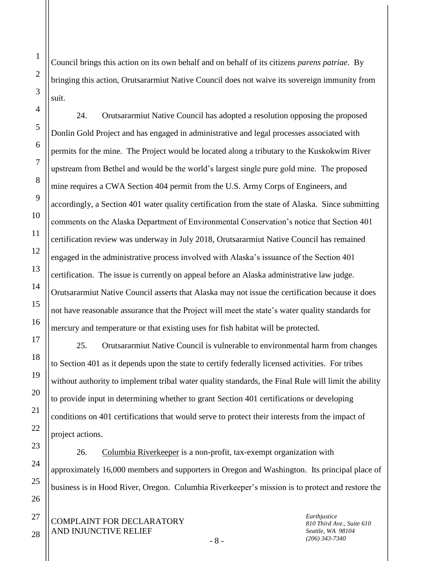Council brings this action on its own behalf and on behalf of its citizens *parens patriae*. By bringing this action, Orutsararmiut Native Council does not waive its sovereign immunity from suit.

24. Orutsararmiut Native Council has adopted a resolution opposing the proposed Donlin Gold Project and has engaged in administrative and legal processes associated with permits for the mine. The Project would be located along a tributary to the Kuskokwim River upstream from Bethel and would be the world's largest single pure gold mine. The proposed mine requires a CWA Section 404 permit from the U.S. Army Corps of Engineers, and accordingly, a Section 401 water quality certification from the state of Alaska. Since submitting comments on the Alaska Department of Environmental Conservation's notice that Section 401 certification review was underway in July 2018, Orutsararmiut Native Council has remained engaged in the administrative process involved with Alaska's issuance of the Section 401 certification. The issue is currently on appeal before an Alaska administrative law judge. Orutsararmiut Native Council asserts that Alaska may not issue the certification because it does not have reasonable assurance that the Project will meet the state's water quality standards for mercury and temperature or that existing uses for fish habitat will be protected.

25. Orutsararmiut Native Council is vulnerable to environmental harm from changes to Section 401 as it depends upon the state to certify federally licensed activities. For tribes without authority to implement tribal water quality standards, the Final Rule will limit the ability to provide input in determining whether to grant Section 401 certifications or developing conditions on 401 certifications that would serve to protect their interests from the impact of project actions.

26. Columbia Riverkeeper is a non-profit, tax-exempt organization with approximately 16,000 members and supporters in Oregon and Washington. Its principal place of business is in Hood River, Oregon. Columbia Riverkeeper's mission is to protect and restore the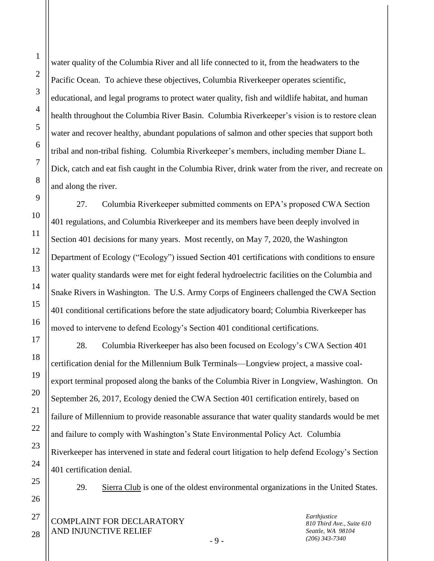water quality of the Columbia River and all life connected to it, from the headwaters to the Pacific Ocean. To achieve these objectives, Columbia Riverkeeper operates scientific, educational, and legal programs to protect water quality, fish and wildlife habitat, and human health throughout the Columbia River Basin. Columbia Riverkeeper's vision is to restore clean water and recover healthy, abundant populations of salmon and other species that support both tribal and non-tribal fishing. Columbia Riverkeeper's members, including member Diane L. Dick, catch and eat fish caught in the Columbia River, drink water from the river, and recreate on and along the river.

27. Columbia Riverkeeper submitted comments on EPA's proposed CWA Section 401 regulations, and Columbia Riverkeeper and its members have been deeply involved in Section 401 decisions for many years. Most recently, on May 7, 2020, the Washington Department of Ecology ("Ecology") issued Section 401 certifications with conditions to ensure water quality standards were met for eight federal hydroelectric facilities on the Columbia and Snake Rivers in Washington. The U.S. Army Corps of Engineers challenged the CWA Section 401 conditional certifications before the state adjudicatory board; Columbia Riverkeeper has moved to intervene to defend Ecology's Section 401 conditional certifications.

28. Columbia Riverkeeper has also been focused on Ecology's CWA Section 401 certification denial for the Millennium Bulk Terminals—Longview project, a massive coalexport terminal proposed along the banks of the Columbia River in Longview, Washington. On September 26, 2017, Ecology denied the CWA Section 401 certification entirely, based on failure of Millennium to provide reasonable assurance that water quality standards would be met and failure to comply with Washington's State Environmental Policy Act. Columbia Riverkeeper has intervened in state and federal court litigation to help defend Ecology's Section 401 certification denial.

29. Sierra Club is one of the oldest environmental organizations in the United States.

COMPLAINT FOR DECLARATORY AND INJUNCTIVE RELIEF

*Earthjustice 810 Third Ave., Suite 610 Seattle, WA 98104 (206) 343-7340*

- 9 -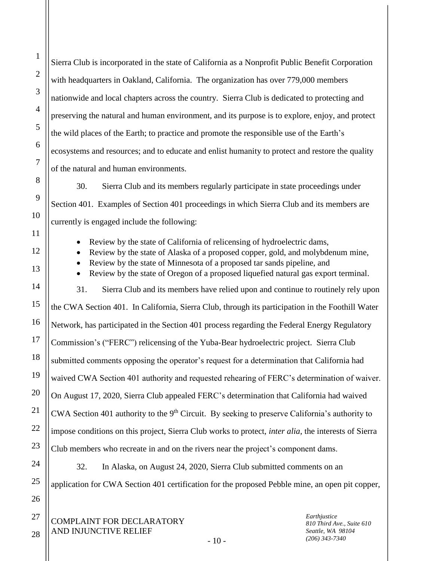Sierra Club is incorporated in the state of California as a Nonprofit Public Benefit Corporation with headquarters in Oakland, California. The organization has over 779,000 members nationwide and local chapters across the country. Sierra Club is dedicated to protecting and preserving the natural and human environment, and its purpose is to explore, enjoy, and protect the wild places of the Earth; to practice and promote the responsible use of the Earth's ecosystems and resources; and to educate and enlist humanity to protect and restore the quality of the natural and human environments.

30. Sierra Club and its members regularly participate in state proceedings under Section 401. Examples of Section 401 proceedings in which Sierra Club and its members are currently is engaged include the following:

• Review by the state of California of relicensing of hydroelectric dams,

Review by the state of Alaska of a proposed copper, gold, and molybdenum mine,

Review by the state of Minnesota of a proposed tar sands pipeline, and

Review by the state of Oregon of a proposed liquefied natural gas export terminal.

31. Sierra Club and its members have relied upon and continue to routinely rely upon the CWA Section 401. In California, Sierra Club, through its participation in the Foothill Water Network, has participated in the Section 401 process regarding the Federal Energy Regulatory Commission's ("FERC") relicensing of the Yuba-Bear hydroelectric project. Sierra Club submitted comments opposing the operator's request for a determination that California had waived CWA Section 401 authority and requested rehearing of FERC's determination of waiver. On August 17, 2020, Sierra Club appealed FERC's determination that California had waived CWA Section 401 authority to the  $9<sup>th</sup>$  Circuit. By seeking to preserve California's authority to impose conditions on this project, Sierra Club works to protect, *inter alia*, the interests of Sierra Club members who recreate in and on the rivers near the project's component dams.

32. In Alaska, on August 24, 2020, Sierra Club submitted comments on an application for CWA Section 401 certification for the proposed Pebble mine, an open pit copper,

 $-10-$ 

COMPLAINT FOR DECLARATORY AND INJUNCTIVE RELIEF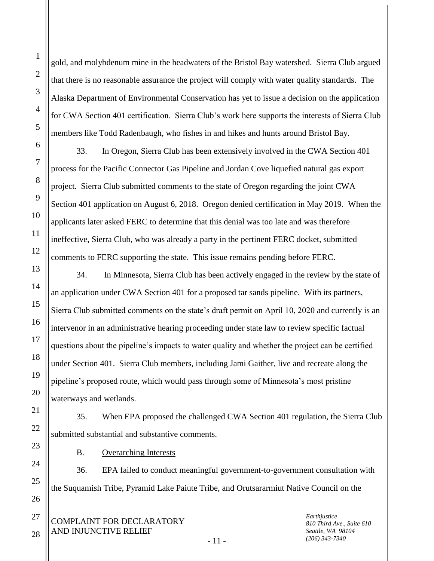1

2

3

4

gold, and molybdenum mine in the headwaters of the Bristol Bay watershed. Sierra Club argued that there is no reasonable assurance the project will comply with water quality standards. The Alaska Department of Environmental Conservation has yet to issue a decision on the application for CWA Section 401 certification. Sierra Club's work here supports the interests of Sierra Club members like Todd Radenbaugh, who fishes in and hikes and hunts around Bristol Bay.

33. In Oregon, Sierra Club has been extensively involved in the CWA Section 401 process for the Pacific Connector Gas Pipeline and Jordan Cove liquefied natural gas export project. Sierra Club submitted comments to the state of Oregon regarding the joint CWA Section 401 application on August 6, 2018. Oregon denied certification in May 2019. When the applicants later asked FERC to determine that this denial was too late and was therefore ineffective, Sierra Club, who was already a party in the pertinent FERC docket, submitted comments to FERC supporting the state. This issue remains pending before FERC.

34. In Minnesota, Sierra Club has been actively engaged in the review by the state of an application under CWA Section 401 for a proposed tar sands pipeline. With its partners, Sierra Club submitted comments on the state's draft permit on April 10, 2020 and currently is an intervenor in an administrative hearing proceeding under state law to review specific factual questions about the pipeline's impacts to water quality and whether the project can be certified under Section 401. Sierra Club members, including Jami Gaither, live and recreate along the pipeline's proposed route, which would pass through some of Minnesota's most pristine waterways and wetlands.

35. When EPA proposed the challenged CWA Section 401 regulation, the Sierra Club submitted substantial and substantive comments.

B. Overarching Interests

36. EPA failed to conduct meaningful government-to-government consultation with the Suquamish Tribe, Pyramid Lake Paiute Tribe, and Orutsararmiut Native Council on the

COMPLAINT FOR DECLARATORY AND INJUNCTIVE RELIEF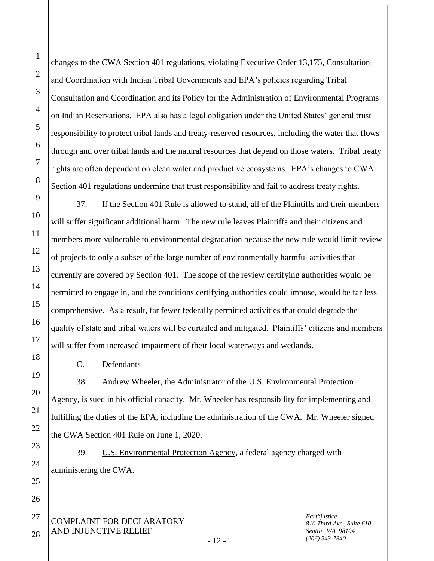changes to the CWA Section 401 regulations, violating Executive Order 13,175, Consultation and Coordination with Indian Tribal Governments and EPA's policies regarding Tribal Consultation and Coordination and its Policy for the Administration of Environmental Programs on Indian Reservations. EPA also has a legal obligation under the United States' general trust responsibility to protect tribal lands and treaty-reserved resources, including the water that flows through and over tribal lands and the natural resources that depend on those waters. Tribal treaty rights are often dependent on clean water and productive ecosystems. EPA's changes to CWA Section 401 regulations undermine that trust responsibility and fail to address treaty rights.

37. If the Section 401 Rule is allowed to stand, all of the Plaintiffs and their members will suffer significant additional harm. The new rule leaves Plaintiffs and their citizens and members more vulnerable to environmental degradation because the new rule would limit review of projects to only a subset of the large number of environmentally harmful activities that currently are covered by Section 401. The scope of the review certifying authorities would be permitted to engage in, and the conditions certifying authorities could impose, would be far less comprehensive. As a result, far fewer federally permitted activities that could degrade the quality of state and tribal waters will be curtailed and mitigated. Plaintiffs' citizens and members will suffer from increased impairment of their local waterways and wetlands.

C. Defendants

38. Andrew Wheeler, the Administrator of the U.S. Environmental Protection Agency, is sued in his official capacity. Mr. Wheeler has responsibility for implementing and fulfilling the duties of the EPA, including the administration of the CWA. Mr. Wheeler signed the CWA Section 401 Rule on June 1, 2020.

39. U.S. Environmental Protection Agency, a federal agency charged with administering the CWA.

COMPLAINT FOR DECLARATORY AND INJUNCTIVE RELIEF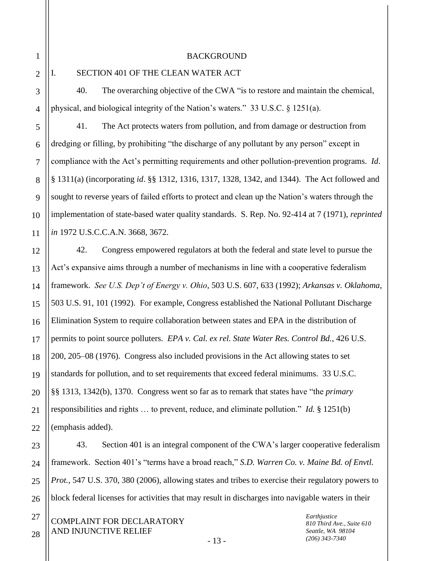BACKGROUND

2

3

4

5

6

7

8

9

10

11

12

13

14

15

16

17

18

19

20

21

22

23

24

25

26

27

28

1

### I. SECTION 401 OF THE CLEAN WATER ACT

40. The overarching objective of the CWA "is to restore and maintain the chemical, physical, and biological integrity of the Nation's waters." 33 U.S.C. § 1251(a).

41. The Act protects waters from pollution, and from damage or destruction from dredging or filling, by prohibiting "the discharge of any pollutant by any person" except in compliance with the Act's permitting requirements and other pollution-prevention programs. *Id*. § 1311(a) (incorporating *id*. §§ 1312, 1316, 1317, 1328, 1342, and 1344). The Act followed and sought to reverse years of failed efforts to protect and clean up the Nation's waters through the implementation of state-based water quality standards. S. Rep. No. 92-414 at 7 (1971), *reprinted in* 1972 U.S.C.C.A.N. 3668, 3672.

42. Congress empowered regulators at both the federal and state level to pursue the Act's expansive aims through a number of mechanisms in line with a cooperative federalism framework. *See U.S. Dep't of Energy v. Ohio*, 503 U.S. 607, 633 (1992); *Arkansas v. Oklahoma*, 503 U.S. 91, 101 (1992). For example, Congress established the National Pollutant Discharge Elimination System to require collaboration between states and EPA in the distribution of permits to point source polluters. *EPA v. Cal. ex rel. State Water Res. Control Bd.*, 426 U.S. 200, 205–08 (1976). Congress also included provisions in the Act allowing states to set standards for pollution, and to set requirements that exceed federal minimums. 33 U.S.C. §§ 1313, 1342(b), 1370. Congress went so far as to remark that states have "the *primary* responsibilities and rights … to prevent, reduce, and eliminate pollution." *Id.* § 1251(b) (emphasis added).

43. Section 401 is an integral component of the CWA's larger cooperative federalism framework. Section 401's "terms have a broad reach," *S.D. Warren Co. v. Maine Bd. of Envtl. Prot.*, 547 U.S. 370, 380 (2006), allowing states and tribes to exercise their regulatory powers to block federal licenses for activities that may result in discharges into navigable waters in their

COMPLAINT FOR DECLARATORY AND INJUNCTIVE RELIEF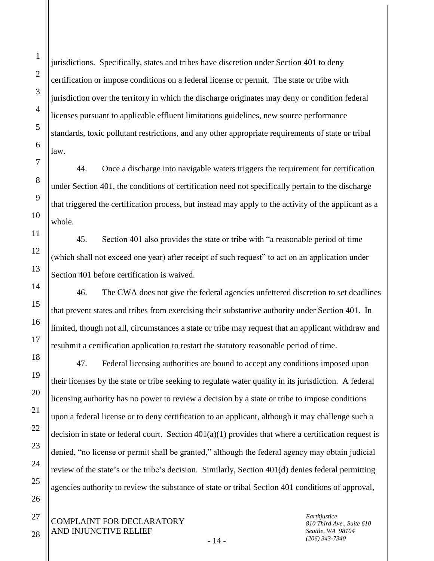25

26

27

1

2

3

jurisdictions. Specifically, states and tribes have discretion under Section 401 to deny certification or impose conditions on a federal license or permit. The state or tribe with jurisdiction over the territory in which the discharge originates may deny or condition federal licenses pursuant to applicable effluent limitations guidelines, new source performance standards, toxic pollutant restrictions, and any other appropriate requirements of state or tribal

44. Once a discharge into navigable waters triggers the requirement for certification under Section 401, the conditions of certification need not specifically pertain to the discharge that triggered the certification process, but instead may apply to the activity of the applicant as a

45. Section 401 also provides the state or tribe with "a reasonable period of time (which shall not exceed one year) after receipt of such request" to act on an application under Section 401 before certification is waived.

46. The CWA does not give the federal agencies unfettered discretion to set deadlines that prevent states and tribes from exercising their substantive authority under Section 401. In limited, though not all, circumstances a state or tribe may request that an applicant withdraw and resubmit a certification application to restart the statutory reasonable period of time.

47. Federal licensing authorities are bound to accept any conditions imposed upon their licenses by the state or tribe seeking to regulate water quality in its jurisdiction. A federal licensing authority has no power to review a decision by a state or tribe to impose conditions upon a federal license or to deny certification to an applicant, although it may challenge such a decision in state or federal court. Section  $401(a)(1)$  provides that where a certification request is denied, "no license or permit shall be granted," although the federal agency may obtain judicial review of the state's or the tribe's decision. Similarly, Section 401(d) denies federal permitting agencies authority to review the substance of state or tribal Section 401 conditions of approval,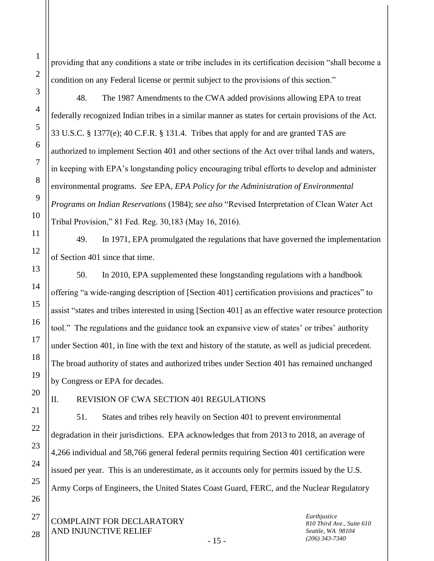2 3 providing that any conditions a state or tribe includes in its certification decision "shall become a condition on any Federal license or permit subject to the provisions of this section." 48. The 1987 Amendments to the CWA added provisions allowing EPA to treat

federally recognized Indian tribes in a similar manner as states for certain provisions of the Act. 33 U.S.C. § 1377(e); 40 C.F.R. § 131.4. Tribes that apply for and are granted TAS are authorized to implement Section 401 and other sections of the Act over tribal lands and waters, in keeping with EPA's longstanding policy encouraging tribal efforts to develop and administer environmental programs. *See* EPA, *EPA Policy for the Administration of Environmental Programs on Indian Reservations* (1984); *see also* "Revised Interpretation of Clean Water Act Tribal Provision," 81 Fed. Reg. 30,183 (May 16, 2016).

49. In 1971, EPA promulgated the regulations that have governed the implementation of Section 401 since that time.

50. In 2010, EPA supplemented these longstanding regulations with a handbook offering "a wide-ranging description of [Section 401] certification provisions and practices" to assist "states and tribes interested in using [Section 401] as an effective water resource protection tool." The regulations and the guidance took an expansive view of states' or tribes' authority under Section 401, in line with the text and history of the statute, as well as judicial precedent. The broad authority of states and authorized tribes under Section 401 has remained unchanged by Congress or EPA for decades.

1

4

5

6

7

8

9

10

11

12

13

14

15

16

17

18

19

20

21

22

23

24

25

26

27

# II. REVISION OF CWA SECTION 401 REGULATIONS

51. States and tribes rely heavily on Section 401 to prevent environmental degradation in their jurisdictions. EPA acknowledges that from 2013 to 2018, an average of 4,266 individual and 58,766 general federal permits requiring Section 401 certification were issued per year. This is an underestimate, as it accounts only for permits issued by the U.S. Army Corps of Engineers, the United States Coast Guard, FERC, and the Nuclear Regulatory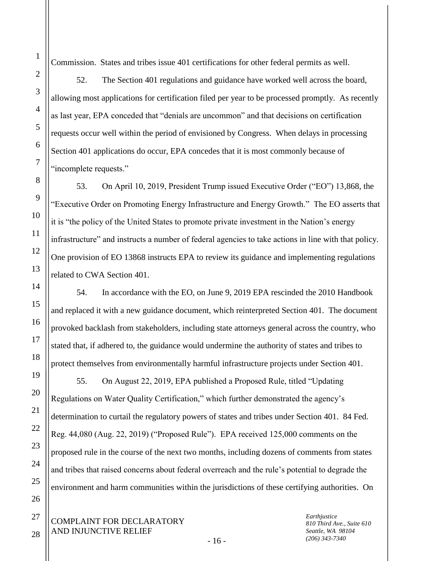Commission. States and tribes issue 401 certifications for other federal permits as well.

52. The Section 401 regulations and guidance have worked well across the board, allowing most applications for certification filed per year to be processed promptly. As recently as last year, EPA conceded that "denials are uncommon" and that decisions on certification requests occur well within the period of envisioned by Congress. When delays in processing Section 401 applications do occur, EPA concedes that it is most commonly because of "incomplete requests."

53. On April 10, 2019, President Trump issued Executive Order ("EO") 13,868, the "Executive Order on Promoting Energy Infrastructure and Energy Growth." The EO asserts that it is "the policy of the United States to promote private investment in the Nation's energy infrastructure" and instructs a number of federal agencies to take actions in line with that policy. One provision of EO 13868 instructs EPA to review its guidance and implementing regulations related to CWA Section 401.

54. In accordance with the EO, on June 9, 2019 EPA rescinded the 2010 Handbook and replaced it with a new guidance document, which reinterpreted Section 401. The document provoked backlash from stakeholders, including state attorneys general across the country, who stated that, if adhered to, the guidance would undermine the authority of states and tribes to protect themselves from environmentally harmful infrastructure projects under Section 401.

55. On August 22, 2019, EPA published a Proposed Rule, titled "Updating Regulations on Water Quality Certification," which further demonstrated the agency's determination to curtail the regulatory powers of states and tribes under Section 401. 84 Fed. Reg. 44,080 (Aug. 22, 2019) ("Proposed Rule"). EPA received 125,000 comments on the proposed rule in the course of the next two months, including dozens of comments from states and tribes that raised concerns about federal overreach and the rule's potential to degrade the environment and harm communities within the jurisdictions of these certifying authorities. On

COMPLAINT FOR DECLARATORY AND INJUNCTIVE RELIEF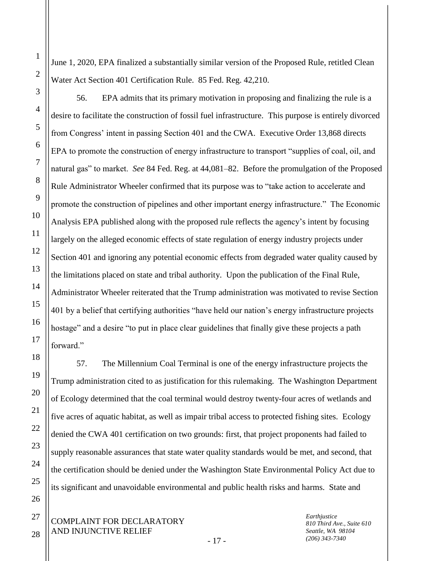June 1, 2020, EPA finalized a substantially similar version of the Proposed Rule, retitled Clean Water Act Section 401 Certification Rule. 85 Fed. Reg. 42,210.

56. EPA admits that its primary motivation in proposing and finalizing the rule is a desire to facilitate the construction of fossil fuel infrastructure. This purpose is entirely divorced from Congress' intent in passing Section 401 and the CWA. Executive Order 13,868 directs EPA to promote the construction of energy infrastructure to transport "supplies of coal, oil, and natural gas" to market. *See* 84 Fed. Reg. at 44,081–82. Before the promulgation of the Proposed Rule Administrator Wheeler confirmed that its purpose was to "take action to accelerate and promote the construction of pipelines and other important energy infrastructure." The Economic Analysis EPA published along with the proposed rule reflects the agency's intent by focusing largely on the alleged economic effects of state regulation of energy industry projects under Section 401 and ignoring any potential economic effects from degraded water quality caused by the limitations placed on state and tribal authority. Upon the publication of the Final Rule, Administrator Wheeler reiterated that the Trump administration was motivated to revise Section 401 by a belief that certifying authorities "have held our nation's energy infrastructure projects hostage" and a desire "to put in place clear guidelines that finally give these projects a path forward."

57. The Millennium Coal Terminal is one of the energy infrastructure projects the Trump administration cited to as justification for this rulemaking. The Washington Department of Ecology determined that the coal terminal would destroy twenty-four acres of wetlands and five acres of aquatic habitat, as well as impair tribal access to protected fishing sites. Ecology denied the CWA 401 certification on two grounds: first, that project proponents had failed to supply reasonable assurances that state water quality standards would be met, and second, that the certification should be denied under the Washington State Environmental Policy Act due to its significant and unavoidable environmental and public health risks and harms. State and

1

2

3

4

5

6

7

8

9

10

11

12

13

14

15

16

17

18

19

20

21

22

23

24

25

26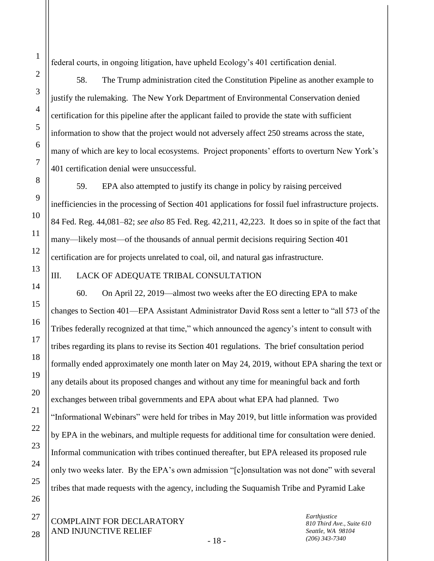federal courts, in ongoing litigation, have upheld Ecology's 401 certification denial.

58. The Trump administration cited the Constitution Pipeline as another example to justify the rulemaking. The New York Department of Environmental Conservation denied certification for this pipeline after the applicant failed to provide the state with sufficient information to show that the project would not adversely affect 250 streams across the state, many of which are key to local ecosystems. Project proponents' efforts to overturn New York's 401 certification denial were unsuccessful.

59. EPA also attempted to justify its change in policy by raising perceived inefficiencies in the processing of Section 401 applications for fossil fuel infrastructure projects. 84 Fed. Reg. 44,081–82; *see also* 85 Fed. Reg. 42,211, 42,223. It does so in spite of the fact that many—likely most—of the thousands of annual permit decisions requiring Section 401 certification are for projects unrelated to coal, oil, and natural gas infrastructure.

### III. LACK OF ADEQUATE TRIBAL CONSULTATION

60. On April 22, 2019—almost two weeks after the EO directing EPA to make changes to Section 401—EPA Assistant Administrator David Ross sent a letter to "all 573 of the Tribes federally recognized at that time," which announced the agency's intent to consult with tribes regarding its plans to revise its Section 401 regulations. The brief consultation period formally ended approximately one month later on May 24, 2019, without EPA sharing the text or any details about its proposed changes and without any time for meaningful back and forth exchanges between tribal governments and EPA about what EPA had planned. Two "Informational Webinars" were held for tribes in May 2019, but little information was provided by EPA in the webinars, and multiple requests for additional time for consultation were denied. Informal communication with tribes continued thereafter, but EPA released its proposed rule only two weeks later. By the EPA's own admission "[c]onsultation was not done" with several tribes that made requests with the agency, including the Suquamish Tribe and Pyramid Lake

COMPLAINT FOR DECLARATORY AND INJUNCTIVE RELIEF

*Earthjustice 810 Third Ave., Suite 610 Seattle, WA 98104 (206) 343-7340*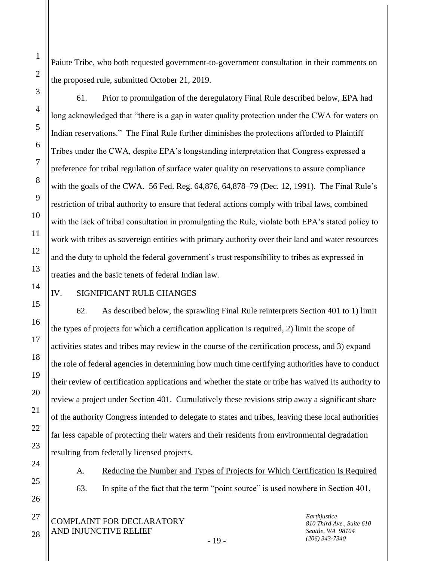Paiute Tribe, who both requested government-to-government consultation in their comments on the proposed rule, submitted October 21, 2019.

61. Prior to promulgation of the deregulatory Final Rule described below, EPA had long acknowledged that "there is a gap in water quality protection under the CWA for waters on Indian reservations." The Final Rule further diminishes the protections afforded to Plaintiff Tribes under the CWA, despite EPA's longstanding interpretation that Congress expressed a preference for tribal regulation of surface water quality on reservations to assure compliance with the goals of the CWA. 56 Fed. Reg. 64,876, 64,878–79 (Dec. 12, 1991). The Final Rule's restriction of tribal authority to ensure that federal actions comply with tribal laws, combined with the lack of tribal consultation in promulgating the Rule, violate both EPA's stated policy to work with tribes as sovereign entities with primary authority over their land and water resources and the duty to uphold the federal government's trust responsibility to tribes as expressed in treaties and the basic tenets of federal Indian law.

# IV. SIGNIFICANT RULE CHANGES

62. As described below, the sprawling Final Rule reinterprets Section 401 to 1) limit the types of projects for which a certification application is required, 2) limit the scope of activities states and tribes may review in the course of the certification process, and 3) expand the role of federal agencies in determining how much time certifying authorities have to conduct their review of certification applications and whether the state or tribe has waived its authority to review a project under Section 401. Cumulatively these revisions strip away a significant share of the authority Congress intended to delegate to states and tribes, leaving these local authorities far less capable of protecting their waters and their residents from environmental degradation resulting from federally licensed projects.

A. Reducing the Number and Types of Projects for Which Certification Is Required

63. In spite of the fact that the term "point source" is used nowhere in Section 401,

COMPLAINT FOR DECLARATORY AND INJUNCTIVE RELIEF

*Earthjustice 810 Third Ave., Suite 610 Seattle, WA 98104 (206) 343-7340*

- 19 -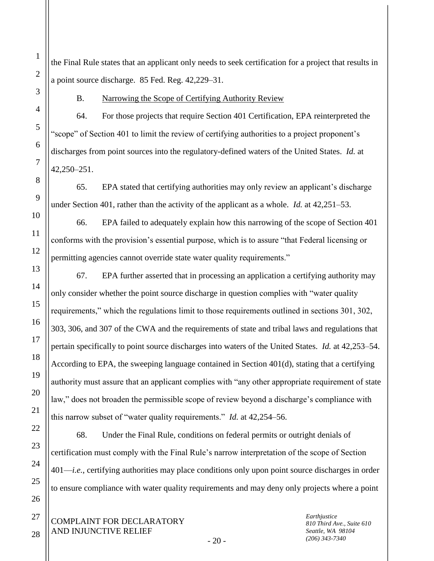the Final Rule states that an applicant only needs to seek certification for a project that results in a point source discharge. 85 Fed. Reg. 42,229–31.

B. Narrowing the Scope of Certifying Authority Review

64. For those projects that require Section 401 Certification, EPA reinterpreted the "scope" of Section 401 to limit the review of certifying authorities to a project proponent's discharges from point sources into the regulatory-defined waters of the United States. *Id.* at 42,250–251.

65. EPA stated that certifying authorities may only review an applicant's discharge under Section 401, rather than the activity of the applicant as a whole. *Id.* at 42,251–53.

66. EPA failed to adequately explain how this narrowing of the scope of Section 401 conforms with the provision's essential purpose, which is to assure "that Federal licensing or permitting agencies cannot override state water quality requirements."

67. EPA further asserted that in processing an application a certifying authority may only consider whether the point source discharge in question complies with "water quality requirements," which the regulations limit to those requirements outlined in sections 301, 302, 303, 306, and 307 of the CWA and the requirements of state and tribal laws and regulations that pertain specifically to point source discharges into waters of the United States. *Id.* at 42,253–54. According to EPA, the sweeping language contained in Section 401(d), stating that a certifying authority must assure that an applicant complies with "any other appropriate requirement of state law," does not broaden the permissible scope of review beyond a discharge's compliance with this narrow subset of "water quality requirements." *Id.* at 42,254–56.

68. Under the Final Rule, conditions on federal permits or outright denials of certification must comply with the Final Rule's narrow interpretation of the scope of Section 401—*i.e.*, certifying authorities may place conditions only upon point source discharges in order to ensure compliance with water quality requirements and may deny only projects where a point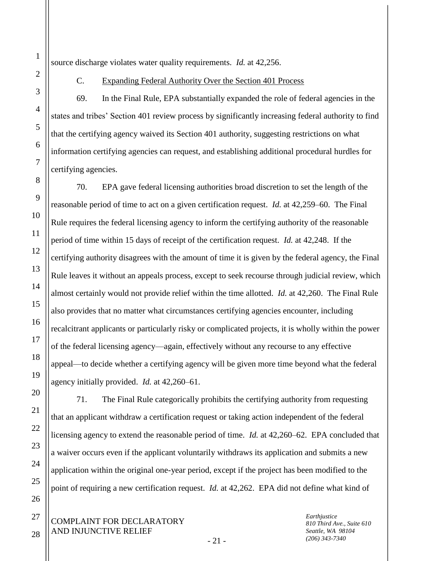source discharge violates water quality requirements. *Id.* at 42,256.

### C. Expanding Federal Authority Over the Section 401 Process

69. In the Final Rule, EPA substantially expanded the role of federal agencies in the states and tribes' Section 401 review process by significantly increasing federal authority to find that the certifying agency waived its Section 401 authority, suggesting restrictions on what information certifying agencies can request, and establishing additional procedural hurdles for certifying agencies.

70. EPA gave federal licensing authorities broad discretion to set the length of the reasonable period of time to act on a given certification request. *Id.* at 42,259–60. The Final Rule requires the federal licensing agency to inform the certifying authority of the reasonable period of time within 15 days of receipt of the certification request. *Id.* at 42,248. If the certifying authority disagrees with the amount of time it is given by the federal agency, the Final Rule leaves it without an appeals process, except to seek recourse through judicial review, which almost certainly would not provide relief within the time allotted. *Id.* at 42,260. The Final Rule also provides that no matter what circumstances certifying agencies encounter, including recalcitrant applicants or particularly risky or complicated projects, it is wholly within the power of the federal licensing agency—again, effectively without any recourse to any effective appeal—to decide whether a certifying agency will be given more time beyond what the federal agency initially provided. *Id.* at 42,260–61.

71. The Final Rule categorically prohibits the certifying authority from requesting that an applicant withdraw a certification request or taking action independent of the federal licensing agency to extend the reasonable period of time. *Id.* at 42,260–62. EPA concluded that a waiver occurs even if the applicant voluntarily withdraws its application and submits a new application within the original one-year period, except if the project has been modified to the point of requiring a new certification request. *Id.* at 42,262. EPA did not define what kind of

COMPLAINT FOR DECLARATORY AND INJUNCTIVE RELIEF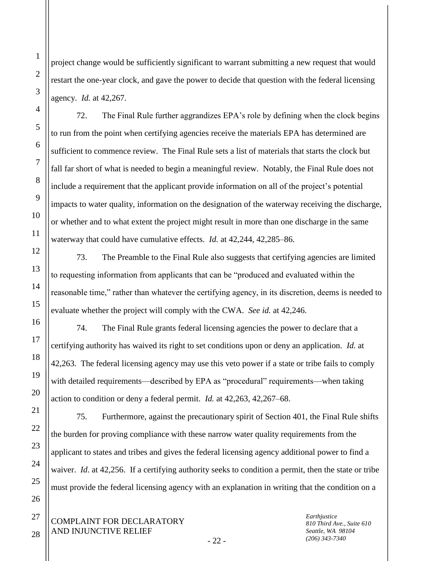project change would be sufficiently significant to warrant submitting a new request that would restart the one-year clock, and gave the power to decide that question with the federal licensing agency. *Id.* at 42,267.

72. The Final Rule further aggrandizes EPA's role by defining when the clock begins to run from the point when certifying agencies receive the materials EPA has determined are sufficient to commence review. The Final Rule sets a list of materials that starts the clock but fall far short of what is needed to begin a meaningful review. Notably, the Final Rule does not include a requirement that the applicant provide information on all of the project's potential impacts to water quality, information on the designation of the waterway receiving the discharge, or whether and to what extent the project might result in more than one discharge in the same waterway that could have cumulative effects. *Id.* at 42,244, 42,285–86.

73. The Preamble to the Final Rule also suggests that certifying agencies are limited to requesting information from applicants that can be "produced and evaluated within the reasonable time," rather than whatever the certifying agency, in its discretion, deems is needed to evaluate whether the project will comply with the CWA. *See id.* at 42,246.

74. The Final Rule grants federal licensing agencies the power to declare that a certifying authority has waived its right to set conditions upon or deny an application. *Id.* at 42,263. The federal licensing agency may use this veto power if a state or tribe fails to comply with detailed requirements—described by EPA as "procedural" requirements—when taking action to condition or deny a federal permit. *Id.* at 42,263, 42,267–68.

75. Furthermore, against the precautionary spirit of Section 401, the Final Rule shifts the burden for proving compliance with these narrow water quality requirements from the applicant to states and tribes and gives the federal licensing agency additional power to find a waiver. *Id*. at 42,256. If a certifying authority seeks to condition a permit, then the state or tribe must provide the federal licensing agency with an explanation in writing that the condition on a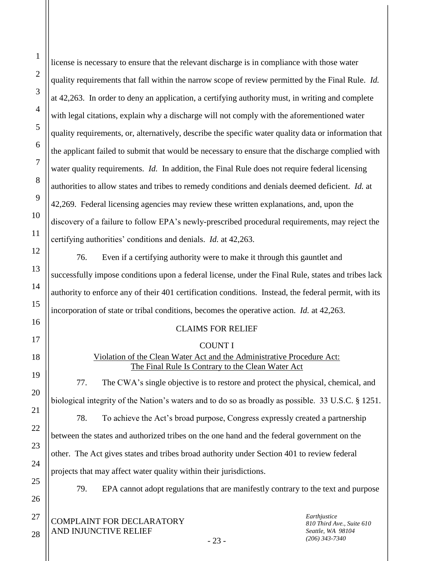license is necessary to ensure that the relevant discharge is in compliance with those water quality requirements that fall within the narrow scope of review permitted by the Final Rule. *Id.* at 42,263. In order to deny an application, a certifying authority must, in writing and complete with legal citations, explain why a discharge will not comply with the aforementioned water quality requirements, or, alternatively, describe the specific water quality data or information that the applicant failed to submit that would be necessary to ensure that the discharge complied with water quality requirements. *Id.* In addition, the Final Rule does not require federal licensing authorities to allow states and tribes to remedy conditions and denials deemed deficient. *Id.* at 42,269. Federal licensing agencies may review these written explanations, and, upon the discovery of a failure to follow EPA's newly-prescribed procedural requirements, may reject the certifying authorities' conditions and denials. *Id.* at 42,263.

76. Even if a certifying authority were to make it through this gauntlet and successfully impose conditions upon a federal license, under the Final Rule, states and tribes lack authority to enforce any of their 401 certification conditions. Instead, the federal permit, with its incorporation of state or tribal conditions, becomes the operative action. *Id.* at 42,263.

### CLAIMS FOR RELIEF

#### COUNT I

# Violation of the Clean Water Act and the Administrative Procedure Act: The Final Rule Is Contrary to the Clean Water Act

77. The CWA's single objective is to restore and protect the physical, chemical, and biological integrity of the Nation's waters and to do so as broadly as possible. 33 U.S.C. § 1251.

78. To achieve the Act's broad purpose, Congress expressly created a partnership between the states and authorized tribes on the one hand and the federal government on the other. The Act gives states and tribes broad authority under Section 401 to review federal projects that may affect water quality within their jurisdictions.

79. EPA cannot adopt regulations that are manifestly contrary to the text and purpose

COMPLAINT FOR DECLARATORY AND INJUNCTIVE RELIEF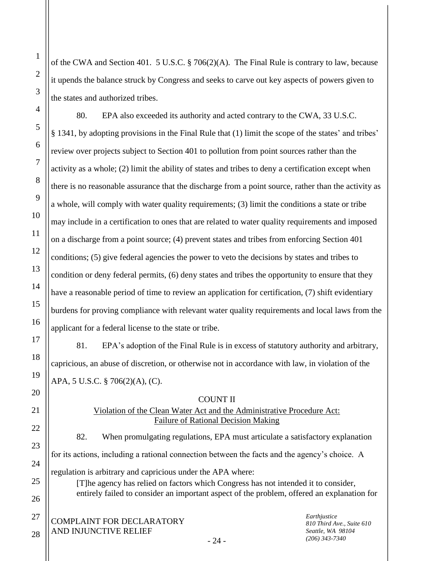of the CWA and Section 401. 5 U.S.C. § 706(2)(A). The Final Rule is contrary to law, because it upends the balance struck by Congress and seeks to carve out key aspects of powers given to the states and authorized tribes.

80. EPA also exceeded its authority and acted contrary to the CWA, 33 U.S.C. § 1341, by adopting provisions in the Final Rule that (1) limit the scope of the states' and tribes' review over projects subject to Section 401 to pollution from point sources rather than the activity as a whole; (2) limit the ability of states and tribes to deny a certification except when there is no reasonable assurance that the discharge from a point source, rather than the activity as a whole, will comply with water quality requirements; (3) limit the conditions a state or tribe may include in a certification to ones that are related to water quality requirements and imposed on a discharge from a point source; (4) prevent states and tribes from enforcing Section 401 conditions; (5) give federal agencies the power to veto the decisions by states and tribes to condition or deny federal permits, (6) deny states and tribes the opportunity to ensure that they have a reasonable period of time to review an application for certification, (7) shift evidentiary burdens for proving compliance with relevant water quality requirements and local laws from the applicant for a federal license to the state or tribe.

81. EPA's adoption of the Final Rule is in excess of statutory authority and arbitrary, capricious, an abuse of discretion, or otherwise not in accordance with law, in violation of the APA, 5 U.S.C. § 706(2)(A), (C).

COUNT II

# Violation of the Clean Water Act and the Administrative Procedure Act: Failure of Rational Decision Making

82. When promulgating regulations, EPA must articulate a satisfactory explanation for its actions, including a rational connection between the facts and the agency's choice. A regulation is arbitrary and capricious under the APA where:

[T]he agency has relied on factors which Congress has not intended it to consider, entirely failed to consider an important aspect of the problem, offered an explanation for

*Earthjustice 810 Third Ave., Suite 610 Seattle, WA 98104 (206) 343-7340*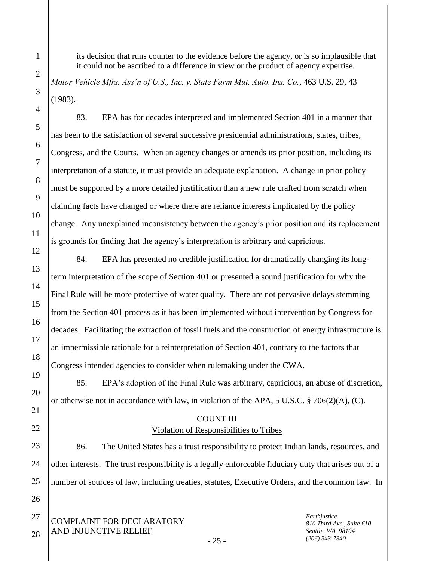its decision that runs counter to the evidence before the agency, or is so implausible that it could not be ascribed to a difference in view or the product of agency expertise.

*Motor Vehicle Mfrs. Ass'n of U.S., Inc. v. State Farm Mut. Auto. Ins. Co.*, 463 U.S. 29, 43 (1983).

83. EPA has for decades interpreted and implemented Section 401 in a manner that has been to the satisfaction of several successive presidential administrations, states, tribes, Congress, and the Courts. When an agency changes or amends its prior position, including its interpretation of a statute, it must provide an adequate explanation. A change in prior policy must be supported by a more detailed justification than a new rule crafted from scratch when claiming facts have changed or where there are reliance interests implicated by the policy change. Any unexplained inconsistency between the agency's prior position and its replacement is grounds for finding that the agency's interpretation is arbitrary and capricious.

84. EPA has presented no credible justification for dramatically changing its longterm interpretation of the scope of Section 401 or presented a sound justification for why the Final Rule will be more protective of water quality. There are not pervasive delays stemming from the Section 401 process as it has been implemented without intervention by Congress for decades. Facilitating the extraction of fossil fuels and the construction of energy infrastructure is an impermissible rationale for a reinterpretation of Section 401, contrary to the factors that Congress intended agencies to consider when rulemaking under the CWA.

85. EPA's adoption of the Final Rule was arbitrary, capricious, an abuse of discretion, or otherwise not in accordance with law, in violation of the APA, 5 U.S.C. § 706(2)(A), (C).

# COUNT III Violation of Responsibilities to Tribes

86. The United States has a trust responsibility to protect Indian lands, resources, and other interests. The trust responsibility is a legally enforceable fiduciary duty that arises out of a number of sources of law, including treaties, statutes, Executive Orders, and the common law. In

- 25 -

COMPLAINT FOR DECLARATORY AND INJUNCTIVE RELIEF

*Earthjustice 810 Third Ave., Suite 610 Seattle, WA 98104 (206) 343-7340*

1

2

3

4

5

6

7

8

9

10

11

12

13

14

15

16

17

18

19

20

21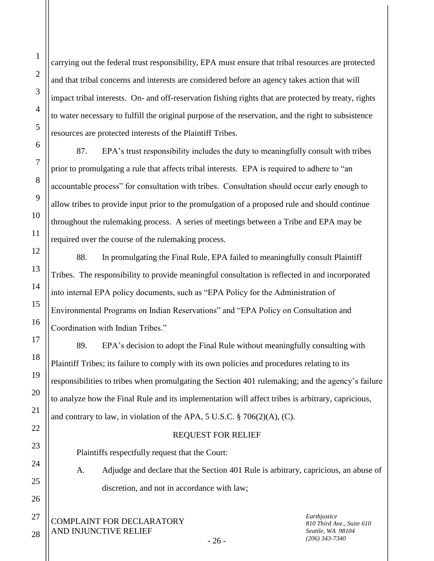27

1

2

3

carrying out the federal trust responsibility, EPA must ensure that tribal resources are protected and that tribal concerns and interests are considered before an agency takes action that will impact tribal interests. On- and off-reservation fishing rights that are protected by treaty, rights to water necessary to fulfill the original purpose of the reservation, and the right to subsistence resources are protected interests of the Plaintiff Tribes.

87. EPA's trust responsibility includes the duty to meaningfully consult with tribes prior to promulgating a rule that affects tribal interests. EPA is required to adhere to "an accountable process" for consultation with tribes. Consultation should occur early enough to allow tribes to provide input prior to the promulgation of a proposed rule and should continue throughout the rulemaking process. A series of meetings between a Tribe and EPA may be required over the course of the rulemaking process.

88. In promulgating the Final Rule, EPA failed to meaningfully consult Plaintiff Tribes. The responsibility to provide meaningful consultation is reflected in and incorporated into internal EPA policy documents, such as "EPA Policy for the Administration of Environmental Programs on Indian Reservations" and "EPA Policy on Consultation and Coordination with Indian Tribes."

89. EPA's decision to adopt the Final Rule without meaningfully consulting with Plaintiff Tribes; its failure to comply with its own policies and procedures relating to its responsibilities to tribes when promulgating the Section 401 rulemaking; and the agency's failure to analyze how the Final Rule and its implementation will affect tribes is arbitrary, capricious, and contrary to law, in violation of the APA, 5 U.S.C. § 706(2)(A), (C).

# REQUEST FOR RELIEF

Plaintiffs respectfully request that the Court:

A. Adjudge and declare that the Section 401 Rule is arbitrary, capricious, an abuse of discretion, and not in accordance with law;

COMPLAINT FOR DECLARATORY AND INJUNCTIVE RELIEF 28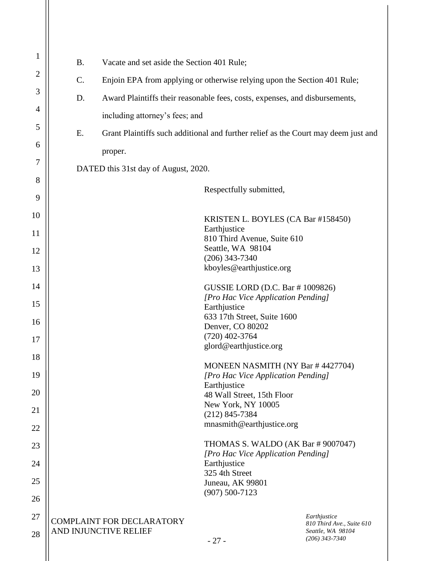| 1              | <b>B.</b>                                                                                | Vacate and set aside the Section 401 Rule;                                  |                                                    |                                                                |  |  |  |
|----------------|------------------------------------------------------------------------------------------|-----------------------------------------------------------------------------|----------------------------------------------------|----------------------------------------------------------------|--|--|--|
| $\overline{2}$ | C.                                                                                       | Enjoin EPA from applying or otherwise relying upon the Section 401 Rule;    |                                                    |                                                                |  |  |  |
| 3              | D.                                                                                       | Award Plaintiffs their reasonable fees, costs, expenses, and disbursements, |                                                    |                                                                |  |  |  |
| 4              |                                                                                          | including attorney's fees; and                                              |                                                    |                                                                |  |  |  |
| 5              | E.<br>Grant Plaintiffs such additional and further relief as the Court may deem just and |                                                                             |                                                    |                                                                |  |  |  |
| 6              |                                                                                          | proper.                                                                     |                                                    |                                                                |  |  |  |
| 7              |                                                                                          | DATED this 31st day of August, 2020.                                        |                                                    |                                                                |  |  |  |
| 8              |                                                                                          |                                                                             | Respectfully submitted,                            |                                                                |  |  |  |
| 9              |                                                                                          |                                                                             |                                                    |                                                                |  |  |  |
| 10             |                                                                                          |                                                                             | KRISTEN L. BOYLES (CA Bar #158450)                 |                                                                |  |  |  |
| 11             | Earthjustice<br>810 Third Avenue, Suite 610                                              |                                                                             |                                                    |                                                                |  |  |  |
| 12             | Seattle, WA 98104<br>$(206)$ 343-7340                                                    |                                                                             |                                                    |                                                                |  |  |  |
| 13             | kboyles@earthjustice.org                                                                 |                                                                             |                                                    |                                                                |  |  |  |
| 14             | GUSSIE LORD (D.C. Bar # 1009826)<br>[Pro Hac Vice Application Pending]                   |                                                                             |                                                    |                                                                |  |  |  |
| 15             |                                                                                          | Earthjustice<br>633 17th Street, Suite 1600                                 |                                                    |                                                                |  |  |  |
| 16             |                                                                                          |                                                                             | Denver, CO 80202                                   |                                                                |  |  |  |
| 17             | $(720)$ 402-3764<br>glord@earthjustice.org                                               |                                                                             |                                                    |                                                                |  |  |  |
| 18             |                                                                                          |                                                                             | MONEEN NASMITH (NY Bar #4427704)                   |                                                                |  |  |  |
| 19             |                                                                                          |                                                                             | [Pro Hac Vice Application Pending]<br>Earthjustice |                                                                |  |  |  |
| 20             | 48 Wall Street, 15th Floor<br>New York, NY 10005                                         |                                                                             |                                                    |                                                                |  |  |  |
| 21             | $(212)$ 845-7384<br>mnasmith@earthjustice.org                                            |                                                                             |                                                    |                                                                |  |  |  |
| 22             |                                                                                          |                                                                             |                                                    |                                                                |  |  |  |
| 23             | THOMAS S. WALDO (AK Bar # 9007047)<br>[Pro Hac Vice Application Pending]                 |                                                                             |                                                    |                                                                |  |  |  |
| 24             |                                                                                          |                                                                             | Earthjustice<br>325 4th Street                     |                                                                |  |  |  |
| 25             |                                                                                          |                                                                             | Juneau, AK 99801<br>$(907) 500 - 7123$             |                                                                |  |  |  |
| 26             |                                                                                          |                                                                             |                                                    |                                                                |  |  |  |
| 27<br>28       |                                                                                          | COMPLAINT FOR DECLARATORY<br>AND INJUNCTIVE RELIEF                          |                                                    | Earthjustice<br>810 Third Ave., Suite 610<br>Seattle, WA 98104 |  |  |  |
|                |                                                                                          |                                                                             | $-27-$                                             | $(206)$ 343-7340                                               |  |  |  |
|                |                                                                                          |                                                                             |                                                    |                                                                |  |  |  |

 $\mathsf{I}$